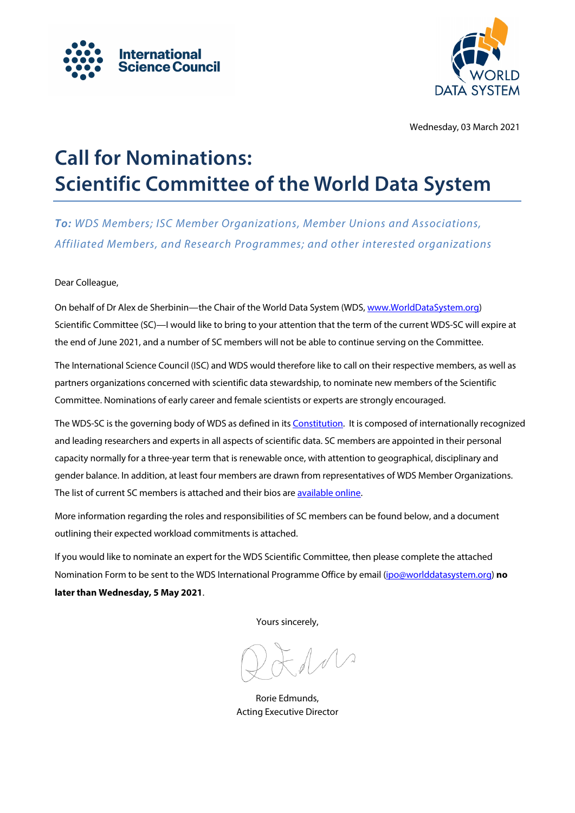



Wednesday, 03 March 2021

# **Call for Nominations: Scientific Committee of the World Data System**

*To: WDS Members; ISC Member Organizations, Member Unions and Associations, Affiliated Members, and Research Programmes; and other interested organizations*

#### Dear Colleague,

On behalf of Dr Alex de Sherbinin—the Chair of the World Data System (WDS[, www.WorldDataSystem.org\)](https://www.worlddatasystem.org/) Scientific Committee (SC)—I would like to bring to your attention that the term of the current WDS-SC will expire at the end of June 2021, and a number of SC members will not be able to continue serving on the Committee.

The International Science Council (ISC) and WDS would therefore like to call on their respective members, as well as partners organizations concerned with scientific data stewardship, to nominate new members of the Scientific Committee. Nominations of early career and female scientists or experts are strongly encouraged.

The WDS-SC is the governing body of WDS as defined in it[s Constitution.](https://www.worlddatasystem.org/organization/constitution_and_bylaws) It is composed of internationally recognized and leading researchers and experts in all aspects of scientific data. SC members are appointed in their personal capacity normally for a three-year term that is renewable once, with attention to geographical, disciplinary and gender balance. In addition, at least four members are drawn from representatives of WDS Member Organizations. The list of current SC members is attached and their bios are [available online.](https://www.worlddatasystem.org/organization/scientific-committee)

More information regarding the roles and responsibilities of SC members can be found below, and a document outlining their expected workload commitments is attached.

If you would like to nominate an expert for the WDS Scientific Committee, then please complete the attached Nomination Form to be sent to the WDS International Programme Office by email [\(ipo@worlddatasystem.org\)](mailto:ipo@worlddatasystem.org) **no later than Wednesday, 5 May 2021**.

Yours sincerely,

Rorie Edmunds, Acting Executive Director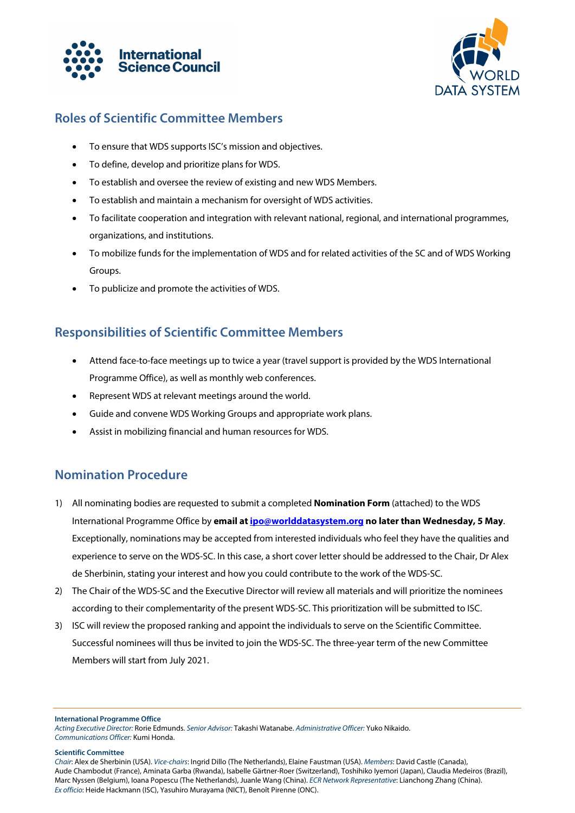



## **Roles of Scientific Committee Members**

- To ensure that WDS supports ISC's mission and objectives.
- To define, develop and prioritize plans for WDS.
- To establish and oversee the review of existing and new WDS Members.
- To establish and maintain a mechanism for oversight of WDS activities.
- To facilitate cooperation and integration with relevant national, regional, and international programmes, organizations, and institutions.
- To mobilize funds for the implementation of WDS and for related activities of the SC and of WDS Working Groups.
- To publicize and promote the activities of WDS.

## **Responsibilities of Scientific Committee Members**

- Attend face-to-face meetings up to twice a year (travel support is provided by the WDS International Programme Office), as well as monthly web conferences.
- Represent WDS at relevant meetings around the world.
- Guide and convene WDS Working Groups and appropriate work plans.
- Assist in mobilizing financial and human resources for WDS.

### **Nomination Procedure**

- 1) All nominating bodies are requested to submit a completed **Nomination Form** (attached) to the WDS International Programme Office by **email a[t ipo@worlddatasystem.org](mailto:ipo@worlddatasystem.org) no later than Wednesday, 5 May**. Exceptionally, nominations may be accepted from interested individuals who feel they have the qualities and experience to serve on the WDS-SC. In this case, a short cover letter should be addressed to the Chair, Dr Alex de Sherbinin, stating your interest and how you could contribute to the work of the WDS-SC.
- 2) The Chair of the WDS-SC and the Executive Director will review all materials and will prioritize the nominees according to their complementarity of the present WDS-SC. This prioritization will be submitted to ISC.
- 3) ISC will review the proposed ranking and appoint the individuals to serve on the Scientific Committee. Successful nominees will thus be invited to join the WDS-SC. The three-year term of the new Committee Members will start from July 2021.

**International Programme Office**

#### **Scientific Committee**

*Acting Executive Director:* Rorie Edmunds. *Senior Advisor:* Takashi Watanabe. *Administrative Officer:* Yuko Nikaido. *Communications Officer:* Kumi Honda.

*Chair*: Alex de Sherbinin (USA). *Vice-chairs*: Ingrid Dillo (The Netherlands), Elaine Faustman (USA). *Members*: David Castle (Canada), Aude Chambodut (France), Aminata Garba (Rwanda), Isabelle Gärtner-Roer (Switzerland), Toshihiko Iyemori (Japan), Claudia Medeiros (Brazil), Marc Nyssen (Belgium), Ioana Popescu (The Netherlands), Juanle Wang (China). *ECR Network Representative*: Lianchong Zhang (China). *Ex officio*: Heide Hackmann (ISC), Yasuhiro Murayama (NICT), Benoît Pirenne (ONC).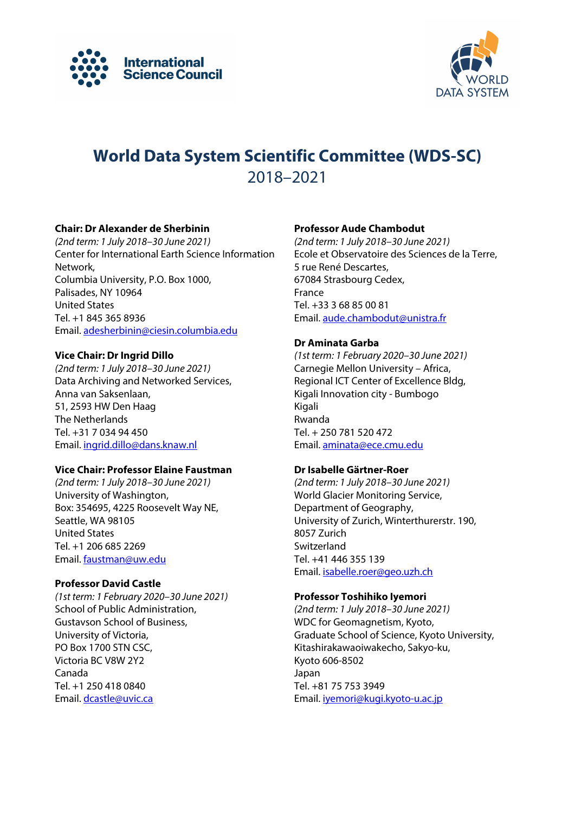



## **World Data System Scientific Committee (WDS-SC)** 2018–2021

#### **Chair: Dr Alexander de Sherbinin**

*(2nd term: 1 July 2018–30 June 2021)* Center for International Earth Science Information Network, Columbia University, P.O. Box 1000, Palisades, NY 10964 United States Tel. +1 845 365 8936 Email[. adesherbinin@ciesin.columbia.edu](mailto:adesherbinin@ciesin.columbia.edu)

#### **Vice Chair: Dr Ingrid Dillo**

*(2nd term: 1 July 2018–30 June 2021)* Data Archiving and Networked Services, Anna van Saksenlaan, 51, 2593 HW Den Haag The Netherlands Tel. +31 7 034 94 450 Email[. ingrid.dillo@dans.knaw.nl](mailto:ingrid.dillo@dans.knaw.nl)

#### **Vice Chair: Professor Elaine Faustman**

*(2nd term: 1 July 2018–30 June 2021)* University of Washington, Box: 354695, 4225 Roosevelt Way NE, Seattle, WA 98105 United States Tel. +1 206 685 2269 Email[. faustman@uw.edu](mailto:faustman@uw.edu)

#### **Professor David Castle**

*(1st term: 1 February 2020–30 June 2021)* School of Public Administration, Gustavson School of Business, University of Victoria, PO Box 1700 STN CSC, Victoria BC V8W 2Y2 Canada Tel. +1 250 418 0840 Email. dcastle@uvic.ca

#### **Professor Aude Chambodut**

*(2nd term: 1 July 2018–30 June 2021)* Ecole et Observatoire des Sciences de la Terre, 5 rue René Descartes, 67084 Strasbourg Cedex, France Tel. +33 3 68 85 00 81 Email[. aude.chambodut@unistra.fr](mailto:aude.chambodut@unistra.fr)

#### **Dr Aminata Garba**

*(1st term: 1 February 2020–30 June 2021)* Carnegie Mellon University – Africa, Regional ICT Center of Excellence Bldg, Kigali Innovation city - Bumbogo Kigali Rwanda Tel. + 250 781 520 472 Email. aminata@ece.cmu.edu

#### **Dr Isabelle Gärtner-Roer**

*(2nd term: 1 July 2018–30 June 2021)* World Glacier Monitoring Service, Department of Geography, University of Zurich, Winterthurerstr. 190, 8057 Zurich Switzerland Tel. +41 446 355 139 Email[. isabelle.roer@geo.uzh.ch](mailto:isabelle.roer@geo.uzh.ch)

#### **Professor Toshihiko Iyemori**

*(2nd term: 1 July 2018–30 June 2021)* WDC for Geomagnetism, Kyoto, Graduate School of Science, Kyoto University, Kitashirakawaoiwakecho, Sakyo-ku, Kyoto 606-8502 Japan Tel. +81 75 753 3949 Email[. iyemori@kugi.kyoto-u.ac.jp](mailto:iyemori@kugi.kyoto-u.ac.jp)